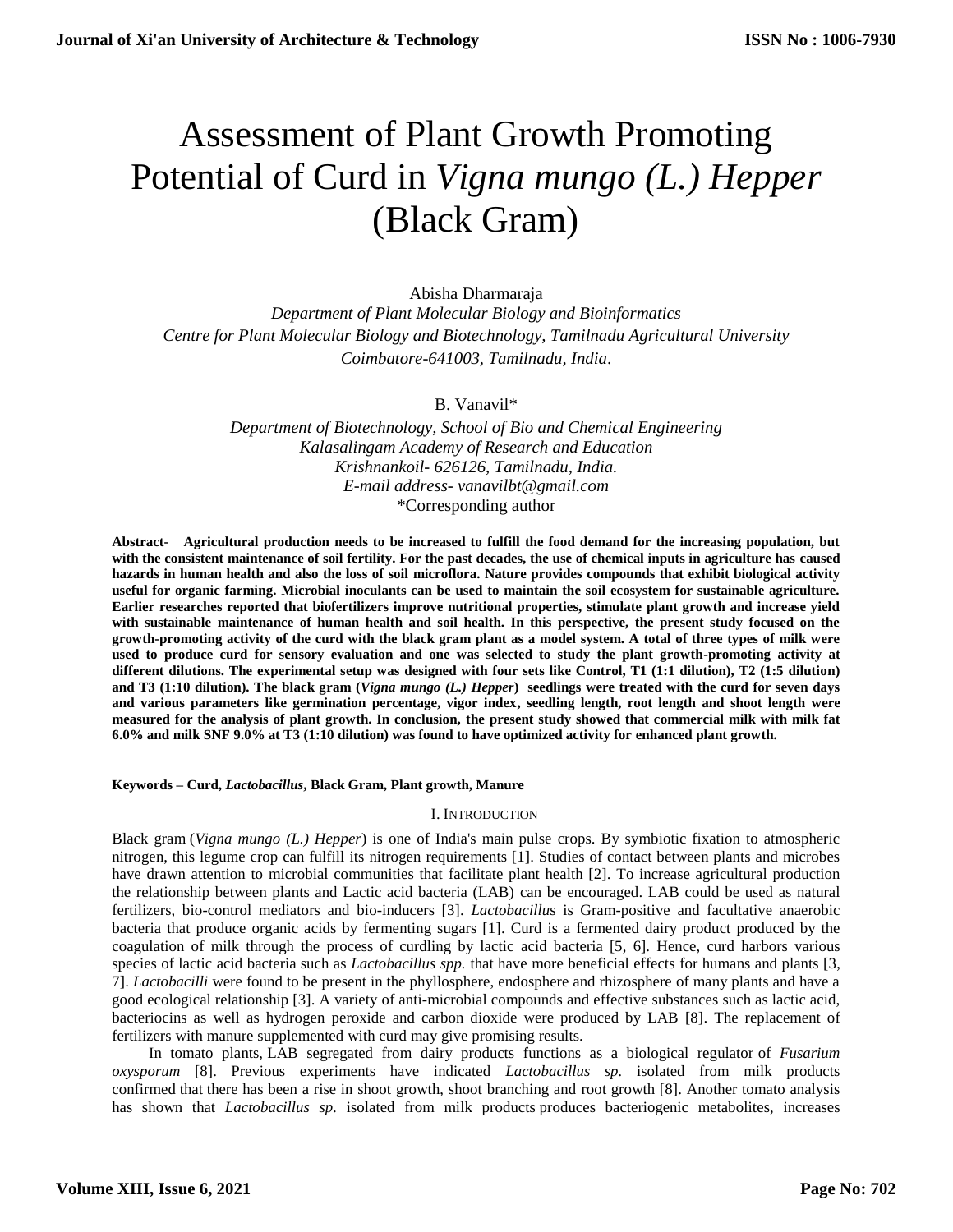# Assessment of Plant Growth Promoting Potential of Curd in *Vigna mungo (L.) Hepper* (Black Gram)

Abisha Dharmaraja *Department of Plant Molecular Biology and Bioinformatics Centre for Plant Molecular Biology and Biotechnology, Tamilnadu Agricultural University Coimbatore-641003, Tamilnadu, India*.

B. Vanavil\*

*Department of Biotechnology, School of Bio and Chemical Engineering Kalasalingam Academy of Research and Education Krishnankoil- 626126*, *Tamilnadu, India. E-mail address- vanavilbt@gmail.com* \*Corresponding author

**Abstract- Agricultural production needs to be increased to fulfill the food demand for the increasing population, but with the consistent maintenance of soil fertility. For the past decades, the use of chemical inputs in agriculture has caused hazards in human health and also the loss of soil microflora. Nature provides compounds that exhibit biological activity useful for organic farming. Microbial inoculants can be used to maintain the soil ecosystem for sustainable agriculture. Earlier researches reported that biofertilizers improve nutritional properties, stimulate plant growth and increase yield with sustainable maintenance of human health and soil health. In this perspective, the present study focused on the growth-promoting activity of the curd with the black gram plant as a model system. A total of three types of milk were**  used to produce curd for sensory evaluation and one was selected to study the plant growth-promoting activity at **different dilutions. The experimental setup was designed with four sets like Control, T1 (1:1 dilution), T2 (1:5 dilution) and T3 (1:10 dilution). The black gram (***Vigna mungo (L.) Hepper***) seedlings were treated with the curd for seven days and various parameters like germination percentage, vigor index, seedling length, root length and shoot length were measured for the analysis of plant growth. In conclusion, the present study showed that commercial milk with milk fat 6.0% and milk SNF 9.0% at T3 (1:10 dilution) was found to have optimized activity for enhanced plant growth.**

**Keywords – Curd,** *Lactobacillus***, Black Gram, Plant growth, Manure** 

# I. INTRODUCTION

Black gram (*Vigna mungo (L.) Hepper*) is one of India's main pulse crops. By symbiotic fixation to atmospheric nitrogen, this legume crop can fulfill its nitrogen requirements [1]. Studies of contact between plants and microbes have drawn attention to microbial communities that facilitate plant health [2]. To increase agricultural production the relationship between plants and Lactic acid bacteria (LAB) can be encouraged. LAB could be used as natural fertilizers, bio-control mediators and bio-inducers [3]. *Lactobacillu*s is Gram-positive and facultative anaerobic bacteria that produce organic acids by fermenting sugars [1]. Curd is a fermented dairy product produced by the coagulation of milk through the process of curdling by lactic acid bacteria [5, 6]. Hence, curd harbors various species of lactic acid bacteria such as *Lactobacillus spp.* that have more beneficial effects for humans and plants [3, 7]. *Lactobacilli* were found to be present in the phyllosphere, endosphere and rhizosphere of many plants and have a good ecological relationship [3]. A variety of anti-microbial compounds and effective substances such as lactic acid, bacteriocins as well as hydrogen peroxide and carbon dioxide were produced by LAB [8]. The replacement of fertilizers with manure supplemented with curd may give promising results.

In tomato plants, LAB segregated from dairy products functions as a biological regulator of *Fusarium oxysporum* [8]. Previous experiments have indicated *Lactobacillus sp.* isolated from milk products confirmed that there has been a rise in shoot growth, shoot branching and root growth [8]. Another tomato analysis has shown that *Lactobacillus sp.* isolated from milk products produces bacteriogenic metabolites, increases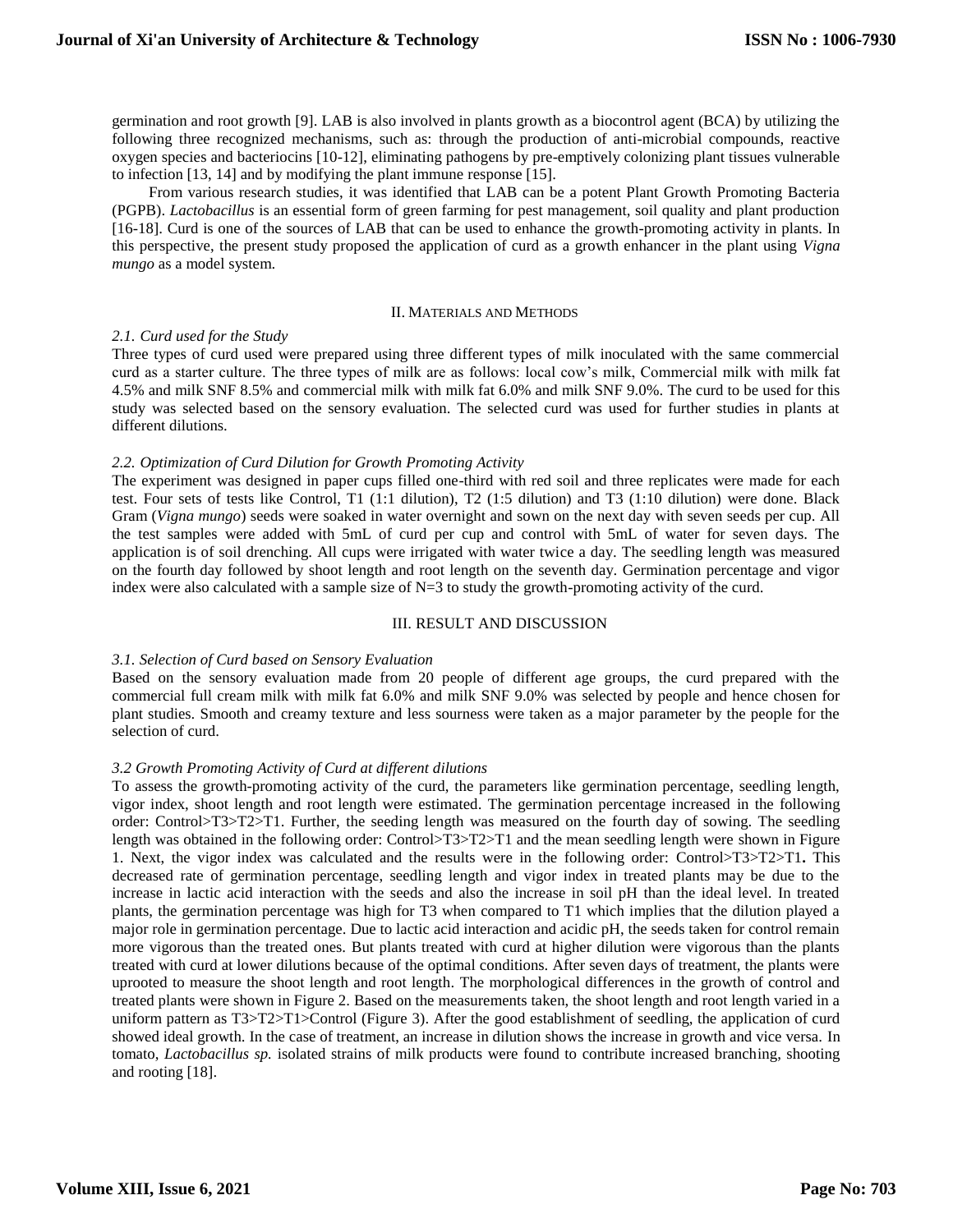germination and root growth [9]. LAB is also involved in plants growth as a biocontrol agent (BCA) by utilizing the following three recognized mechanisms, such as: through the production of anti-microbial compounds, reactive oxygen species and bacteriocins [10-12], eliminating pathogens by pre-emptively colonizing plant tissues vulnerable to infection [13, 14] and by modifying the plant immune response [15].

From various research studies, it was identified that LAB can be a potent Plant Growth Promoting Bacteria (PGPB). *Lactobacillus* is an essential form of green farming for pest management, soil quality and plant production [16-18]. Curd is one of the sources of LAB that can be used to enhance the growth-promoting activity in plants. In this perspective, the present study proposed the application of curd as a growth enhancer in the plant using *Vigna mungo* as a model system.

#### II. MATERIALS AND METHODS

# *2.1. Curd used for the Study*

Three types of curd used were prepared using three different types of milk inoculated with the same commercial curd as a starter culture. The three types of milk are as follows: local cow's milk, Commercial milk with milk fat 4.5% and milk SNF 8.5% and commercial milk with milk fat 6.0% and milk SNF 9.0%. The curd to be used for this study was selected based on the sensory evaluation. The selected curd was used for further studies in plants at different dilutions.

# *2.2. Optimization of Curd Dilution for Growth Promoting Activity*

The experiment was designed in paper cups filled one-third with red soil and three replicates were made for each test. Four sets of tests like Control, T1 (1:1 dilution), T2 (1:5 dilution) and T3 (1:10 dilution) were done. Black Gram (*Vigna mungo*) seeds were soaked in water overnight and sown on the next day with seven seeds per cup. All the test samples were added with 5mL of curd per cup and control with 5mL of water for seven days. The application is of soil drenching. All cups were irrigated with water twice a day. The seedling length was measured on the fourth day followed by shoot length and root length on the seventh day. Germination percentage and vigor index were also calculated with a sample size of  $N=3$  to study the growth-promoting activity of the curd.

# III. RESULT AND DISCUSSION

# *3.1. Selection of Curd based on Sensory Evaluation*

Based on the sensory evaluation made from 20 people of different age groups, the curd prepared with the commercial full cream milk with milk fat 6.0% and milk SNF 9.0% was selected by people and hence chosen for plant studies. Smooth and creamy texture and less sourness were taken as a major parameter by the people for the selection of curd.

# *3.2 Growth Promoting Activity of Curd at different dilutions*

To assess the growth-promoting activity of the curd, the parameters like germination percentage, seedling length, vigor index, shoot length and root length were estimated. The germination percentage increased in the following order: Control>T3>T2>T1. Further, the seeding length was measured on the fourth day of sowing. The seedling length was obtained in the following order: Control>T3>T2>T1 and the mean seedling length were shown in Figure 1. Next, the vigor index was calculated and the results were in the following order: Control>T3>T2>T1**.** This decreased rate of germination percentage, seedling length and vigor index in treated plants may be due to the increase in lactic acid interaction with the seeds and also the increase in soil pH than the ideal level. In treated plants, the germination percentage was high for T3 when compared to T1 which implies that the dilution played a major role in germination percentage. Due to lactic acid interaction and acidic pH, the seeds taken for control remain more vigorous than the treated ones. But plants treated with curd at higher dilution were vigorous than the plants treated with curd at lower dilutions because of the optimal conditions. After seven days of treatment, the plants were uprooted to measure the shoot length and root length. The morphological differences in the growth of control and treated plants were shown in Figure 2. Based on the measurements taken, the shoot length and root length varied in a uniform pattern as T3>T2>T1>Control (Figure 3). After the good establishment of seedling, the application of curd showed ideal growth. In the case of treatment, an increase in dilution shows the increase in growth and vice versa. In tomato, *Lactobacillus sp.* isolated strains of milk products were found to contribute increased branching, shooting and rooting [18].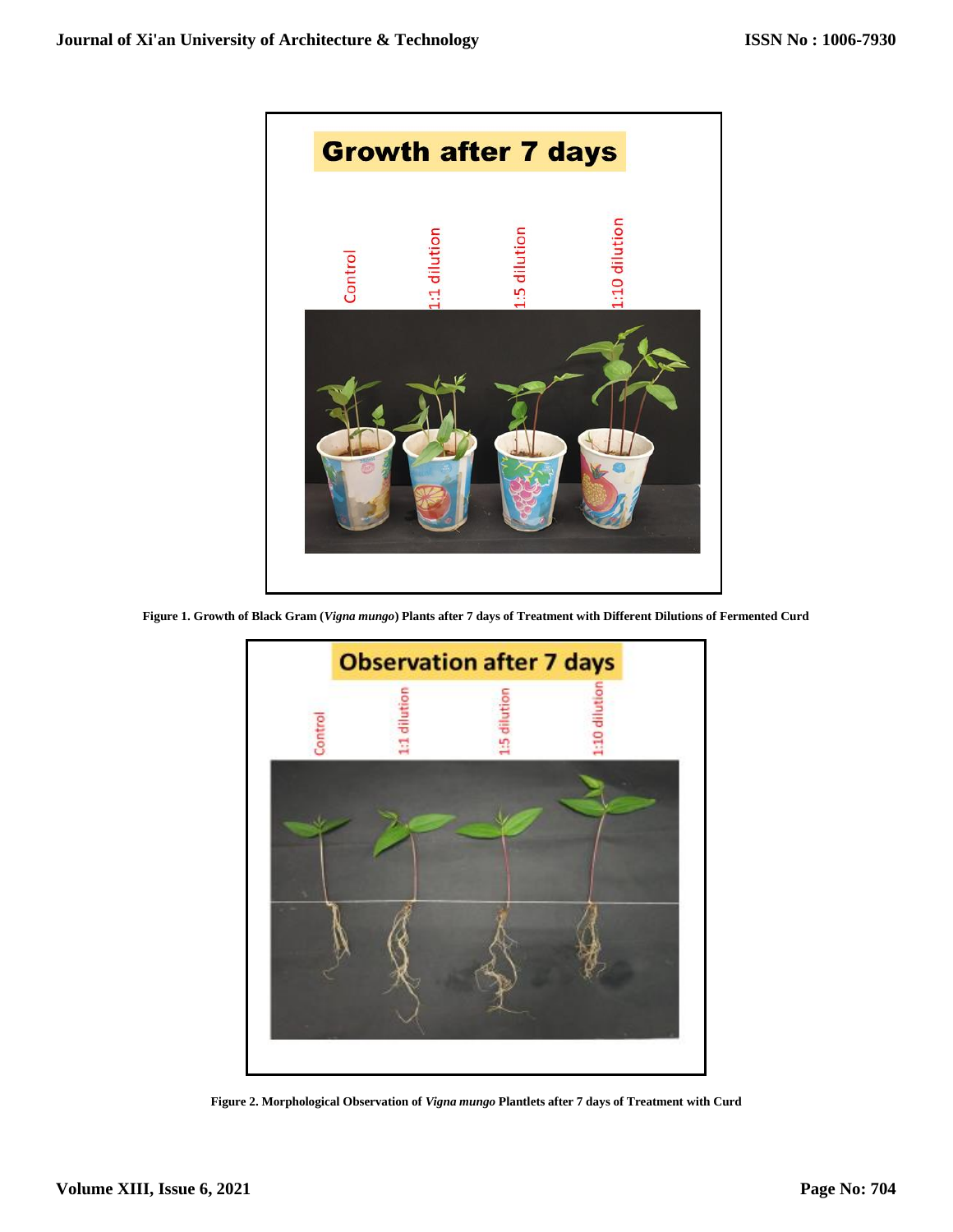

**Figure 1. Growth of Black Gram (***Vigna mungo***) Plants after 7 days of Treatment with Different Dilutions of Fermented Curd**



**Figure 2. Morphological Observation of** *Vigna mungo* **Plantlets after 7 days of Treatment with Curd**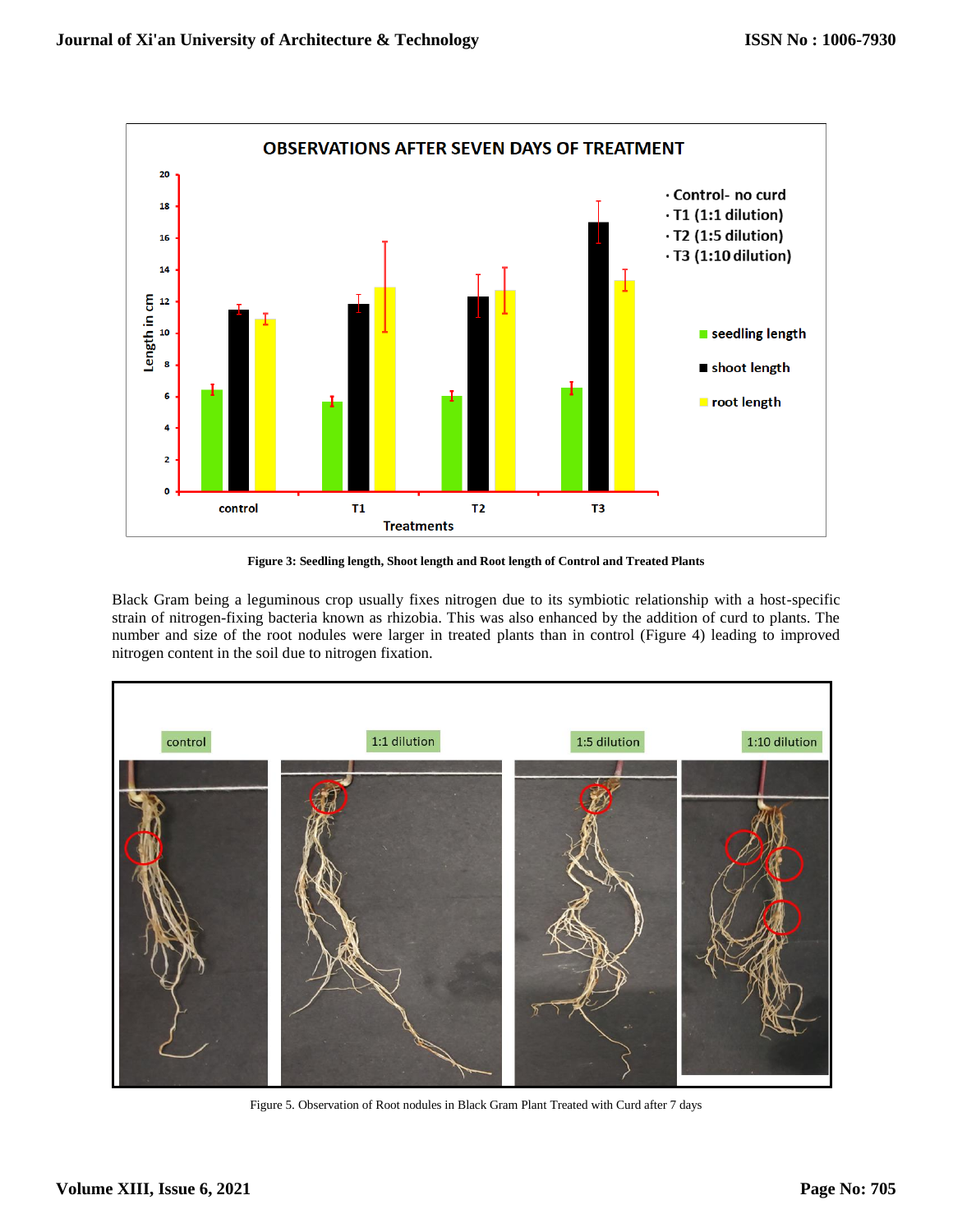

**Figure 3: Seedling length, Shoot length and Root length of Control and Treated Plants**

Black Gram being a leguminous crop usually fixes nitrogen due to its symbiotic relationship with a host-specific strain of nitrogen-fixing bacteria known as rhizobia. This was also enhanced by the addition of curd to plants. The number and size of the root nodules were larger in treated plants than in control (Figure 4) leading to improved nitrogen content in the soil due to nitrogen fixation.



Figure 5. Observation of Root nodules in Black Gram Plant Treated with Curd after 7 days